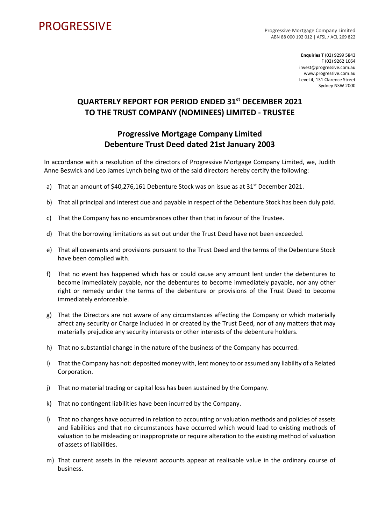## **PROGRESSIVE**

Progressive Mortgage Company Limited ABN 88 000 192 012 | AFSL / ACL 269 822

> **Enquiries** T (02) 9299 5843 F (02) 9262 1064 invest@progressive.com.au www.progressive.com.au Level 4, 131 Clarence Street Sydney NSW 2000

## **QUARTERLY REPORT FOR PERIOD ENDED 31st DECEMBER 2021 TO THE TRUST COMPANY (NOMINEES) LIMITED - TRUSTEE**

## **Progressive Mortgage Company Limited Debenture Trust Deed dated 21st January 2003**

In accordance with a resolution of the directors of Progressive Mortgage Company Limited, we, Judith Anne Beswick and Leo James Lynch being two of the said directors hereby certify the following:

- a) That an amount of  $$40,276,161$  Debenture Stock was on issue as at 31<sup>st</sup> December 2021.
- b) That all principal and interest due and payable in respect of the Debenture Stock has been duly paid.
- c) That the Company has no encumbrances other than that in favour of the Trustee.
- d) That the borrowing limitations as set out under the Trust Deed have not been exceeded.
- e) That all covenants and provisions pursuant to the Trust Deed and the terms of the Debenture Stock have been complied with.
- f) That no event has happened which has or could cause any amount lent under the debentures to become immediately payable, nor the debentures to become immediately payable, nor any other right or remedy under the terms of the debenture or provisions of the Trust Deed to become immediately enforceable.
- g) That the Directors are not aware of any circumstances affecting the Company or which materially affect any security or Charge included in or created by the Trust Deed, nor of any matters that may materially prejudice any security interests or other interests of the debenture holders.
- h) That no substantial change in the nature of the business of the Company has occurred.
- i) That the Company has not: deposited money with, lent money to or assumed any liability of a Related Corporation.
- j) That no material trading or capital loss has been sustained by the Company.
- k) That no contingent liabilities have been incurred by the Company.
- l) That no changes have occurred in relation to accounting or valuation methods and policies of assets and liabilities and that no circumstances have occurred which would lead to existing methods of valuation to be misleading or inappropriate or require alteration to the existing method of valuation of assets of liabilities.
- m) That current assets in the relevant accounts appear at realisable value in the ordinary course of business.